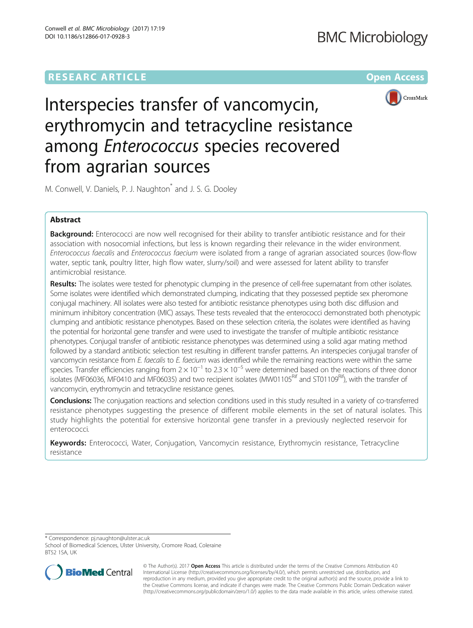# **RESEARC ARTICLE External Structure of the Contract Open Access**



Interspecies transfer of vancomycin, erythromycin and tetracycline resistance among Enterococcus species recovered from agrarian sources

M. Conwell, V. Daniels, P. J. Naughton<sup>\*</sup> and J. S. G. Dooley

# Abstract

Background: Enterococci are now well recognised for their ability to transfer antibiotic resistance and for their association with nosocomial infections, but less is known regarding their relevance in the wider environment. Enterococcus faecalis and Enterococcus faecium were isolated from a range of agrarian associated sources (low-flow water, septic tank, poultry litter, high flow water, slurry/soil) and were assessed for latent ability to transfer antimicrobial resistance.

Results: The isolates were tested for phenotypic clumping in the presence of cell-free supernatant from other isolates. Some isolates were identified which demonstrated clumping, indicating that they possessed peptide sex pheromone conjugal machinery. All isolates were also tested for antibiotic resistance phenotypes using both disc diffusion and minimum inhibitory concentration (MIC) assays. These tests revealed that the enterococci demonstrated both phenotypic clumping and antibiotic resistance phenotypes. Based on these selection criteria, the isolates were identified as having the potential for horizontal gene transfer and were used to investigate the transfer of multiple antibiotic resistance phenotypes. Conjugal transfer of antibiotic resistance phenotypes was determined using a solid agar mating method followed by a standard antibiotic selection test resulting in different transfer patterns. An interspecies conjugal transfer of vancomycin resistance from E. faecalis to E. faecium was identified while the remaining reactions were within the same species. Transfer efficiencies ranging from  $2 \times 10^{-1}$  to  $2.3 \times 10^{-5}$  were determined based on the reactions of three donor isolates (MF06036, MF0410 and MF06035) and two recipient isolates (MW01105<sup>Rif</sup> and ST01109<sup>Rif</sup>), with the transfer of vancomycin, erythromycin and tetracycline resistance genes.

Conclusions: The conjugation reactions and selection conditions used in this study resulted in a variety of co-transferred resistance phenotypes suggesting the presence of different mobile elements in the set of natural isolates. This study highlights the potential for extensive horizontal gene transfer in a previously neglected reservoir for enterococci.

Keywords: Enterococci, Water, Conjugation, Vancomycin resistance, Erythromycin resistance, Tetracycline resistance

\* Correspondence: [pj.naughton@ulster.ac.uk](mailto:pj.naughton@ulster.ac.uk)

School of Biomedical Sciences, Ulster University, Cromore Road, Coleraine BT52 1SA, UK



© The Author(s). 2017 **Open Access** This article is distributed under the terms of the Creative Commons Attribution 4.0 International License [\(http://creativecommons.org/licenses/by/4.0/](http://creativecommons.org/licenses/by/4.0/)), which permits unrestricted use, distribution, and reproduction in any medium, provided you give appropriate credit to the original author(s) and the source, provide a link to the Creative Commons license, and indicate if changes were made. The Creative Commons Public Domain Dedication waiver [\(http://creativecommons.org/publicdomain/zero/1.0/](http://creativecommons.org/publicdomain/zero/1.0/)) applies to the data made available in this article, unless otherwise stated.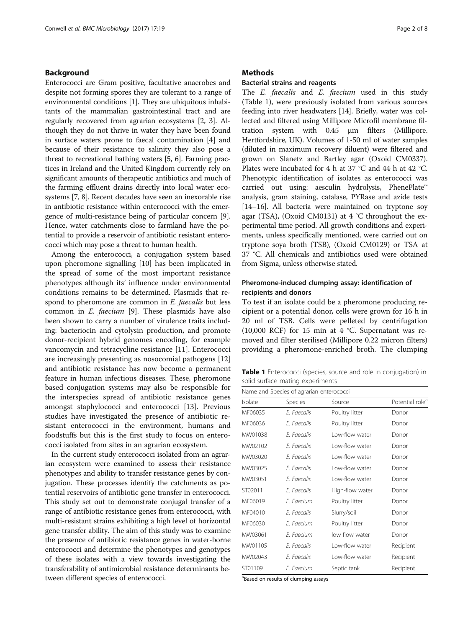### <span id="page-1-0"></span>Background

Enterococci are Gram positive, facultative anaerobes and despite not forming spores they are tolerant to a range of environmental conditions [\[1](#page-7-0)]. They are ubiquitous inhabitants of the mammalian gastrointestinal tract and are regularly recovered from agrarian ecosystems [\[2](#page-7-0), [3](#page-7-0)]. Although they do not thrive in water they have been found in surface waters prone to faecal contamination [[4](#page-7-0)] and because of their resistance to salinity they also pose a threat to recreational bathing waters [\[5](#page-7-0), [6](#page-7-0)]. Farming practices in Ireland and the United Kingdom currently rely on significant amounts of therapeutic antibiotics and much of the farming effluent drains directly into local water ecosystems [\[7](#page-7-0), [8\]](#page-7-0). Recent decades have seen an inexorable rise in antibiotic resistance within enterococci with the emergence of multi-resistance being of particular concern [[9](#page-7-0)]. Hence, water catchments close to farmland have the potential to provide a reservoir of antibiotic resistant enterococci which may pose a threat to human health.

Among the enterococci, a conjugation system based upon pheromone signalling [\[10](#page-7-0)] has been implicated in the spread of some of the most important resistance phenotypes although its' influence under environmental conditions remains to be determined. Plasmids that respond to pheromone are common in E. faecalis but less common in E. faecium [[9\]](#page-7-0). These plasmids have also been shown to carry a number of virulence traits including: bacteriocin and cytolysin production, and promote donor-recipient hybrid genomes encoding, for example vancomycin and tetracycline resistance [[11\]](#page-7-0). Enterococci are increasingly presenting as nosocomial pathogens [[12](#page-7-0)] and antibiotic resistance has now become a permanent feature in human infectious diseases. These, pheromone based conjugation systems may also be responsible for the interspecies spread of antibiotic resistance genes amongst staphylococci and enterococci [[13\]](#page-7-0). Previous studies have investigated the presence of antibiotic resistant enterococci in the environment, humans and foodstuffs but this is the first study to focus on enterococci isolated from sites in an agrarian ecosystem.

In the current study enterococci isolated from an agrarian ecosystem were examined to assess their resistance phenotypes and ability to transfer resistance genes by conjugation. These processes identify the catchments as potential reservoirs of antibiotic gene transfer in enterococci. This study set out to demonstrate conjugal transfer of a range of antibiotic resistance genes from enterococci, with multi-resistant strains exhibiting a high level of horizontal gene transfer ability. The aim of this study was to examine the presence of antibiotic resistance genes in water-borne enterococci and determine the phenotypes and genotypes of these isolates with a view towards investigating the transferability of antimicrobial resistance determinants between different species of enterococci.

### **Methods**

#### Bacterial strains and reagents

The E. faecalis and E. faecium used in this study (Table 1), were previously isolated from various sources feeding into river headwaters [[14](#page-7-0)]. Briefly, water was collected and filtered using Millipore Microfil membrane filtration system with 0.45 μm filters (Millipore. Hertfordshire, UK). Volumes of 1-50 ml of water samples (diluted in maximum recovery diluent) were filtered and grown on Slanetz and Bartley agar (Oxoid CM0337). Plates were incubated for 4 h at 37 °C and 44 h at 42 °C. Phenotypic identification of isolates as enterococci was carried out using: aesculin hydrolysis, PhenePlate™ analysis, gram staining, catalase, PYRase and azide tests [[14](#page-7-0)–[16\]](#page-7-0). All bacteria were maintained on tryptone soy agar (TSA), (Oxoid CM0131) at 4 °C throughout the experimental time period. All growth conditions and experiments, unless specifically mentioned, were carried out on tryptone soya broth (TSB), (Oxoid CM0129) or TSA at 37 °C. All chemicals and antibiotics used were obtained from Sigma, unless otherwise stated.

### Pheromone-induced clumping assay: identification of recipients and donors

To test if an isolate could be a pheromone producing recipient or a potential donor, cells were grown for 16 h in 20 ml of TSB. Cells were pelleted by centrifugation (10,000 RCF) for 15 min at 4 °C. Supernatant was removed and filter sterilised (Millipore 0.22 micron filters) providing a pheromone-enriched broth. The clumping

Table 1 Enterococci (species, source and role in conjugation) in solid surface mating experiments

| Name and Species of agrarian enterococci |             |                 |                             |  |  |
|------------------------------------------|-------------|-----------------|-----------------------------|--|--|
| Isolate                                  | Species     | Source          | Potential role <sup>a</sup> |  |  |
| MF06035                                  | F. Faecalis | Poultry litter  | Donor                       |  |  |
| MF06036                                  | F. Faecalis | Poultry litter  | Donor                       |  |  |
| MW01038                                  | F. Faecalis | Low-flow water  | Donor                       |  |  |
| MW02102                                  | F. Faecalis | I ow-flow water | Donor                       |  |  |
| MW03020                                  | F Faecalis  | I ow-flow water | Donor                       |  |  |
| MW03025                                  | F. Faecalis | Low-flow water  | Donor                       |  |  |
| MW03051                                  | F. Faecalis | I ow-flow water | Donor                       |  |  |
| ST02011                                  | F. Faecalis | High-flow water | Donor                       |  |  |
| MF06019                                  | F. Faecium  | Poultry litter  | Donor                       |  |  |
| MF04010                                  | F. Faecalis | Slurry/soil     | Donor                       |  |  |
| MF06030                                  | F. Faecium  | Poultry litter  | Donor                       |  |  |
| MW03061                                  | F. Faecium  | low flow water  | Donor                       |  |  |
| MW01105                                  | F. Faecalis | I ow-flow water | Recipient                   |  |  |
| MW02043                                  | F. Faecalis | I ow-flow water | Recipient                   |  |  |
| ST01109                                  | F. Faecium  | Septic tank     | Recipient                   |  |  |

<sup>a</sup>Based on results of clumping assays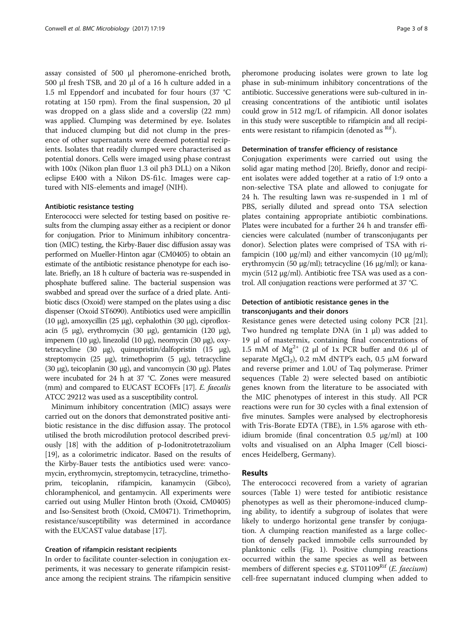assay consisted of 500 μl pheromone-enriched broth, 500 μl fresh TSB, and 20 μl of a 16 h culture added in a 1.5 ml Eppendorf and incubated for four hours (37 °C rotating at 150 rpm). From the final suspension, 20 μl was dropped on a glass slide and a coverslip (22 mm) was applied. Clumping was determined by eye. Isolates that induced clumping but did not clump in the presence of other supernatants were deemed potential recipients. Isolates that readily clumped were characterised as potential donors. Cells were imaged using phase contrast with 100x (Nikon plan fluor 1.3 oil ph3 DLL) on a Nikon eclipse E400 with a Nikon DS-fi1c. Images were captured with NIS-elements and imageJ (NIH).

### Antibiotic resistance testing

Enterococci were selected for testing based on positive results from the clumping assay either as a recipient or donor for conjugation. Prior to Minimum inhibitory concentration (MIC) testing, the Kirby-Bauer disc diffusion assay was performed on Mueller-Hinton agar (CM0405) to obtain an estimate of the antibiotic resistance phenotype for each isolate. Briefly, an 18 h culture of bacteria was re-suspended in phosphate buffered saline. The bacterial suspension was swabbed and spread over the surface of a dried plate. Antibiotic discs (Oxoid) were stamped on the plates using a disc dispenser (Oxoid ST6090). Antibiotics used were ampicillin (10 μg), amoxycillin (25 μg), cephalothin (30 μg), ciprofloxacin (5 μg), erythromycin (30 μg), gentamicin (120 μg), impenem (10 μg), linezolid (10 μg), neomycin (30 μg), oxytetracycline (30 μg), quinupristin/dalfopristin (15 μg), streptomycin (25 μg), trimethoprim (5 μg), tetracycline (30 μg), teicoplanin (30 μg), and vancomycin (30 μg). Plates were incubated for 24 h at 37 °C. Zones were measured (mm) and compared to EUCAST ECOFFs [\[17\]](#page-7-0). E. faecalis ATCC 29212 was used as a susceptibility control.

Minimum inhibitory concentration (MIC) assays were carried out on the donors that demonstrated positive antibiotic resistance in the disc diffusion assay. The protocol utilised the broth microdilution protocol described previously [\[18\]](#page-7-0) with the addition of p-Iodonitrotetrazolium [[19](#page-7-0)], as a colorimetric indicator. Based on the results of the Kirby-Bauer tests the antibiotics used were: vancomycin, erythromycin, streptomycin, tetracycline, trimethoprim, teicoplanin, rifampicin, kanamycin (Gibco), chloramphenicol, and gentamycin. All experiments were carried out using Muller Hinton broth (Oxoid, CM0405) and Iso-Sensitest broth (Oxoid, CM0471). Trimethoprim, resistance/susceptibility was determined in accordance with the EUCAST value database [\[17\]](#page-7-0).

### Creation of rifampicin resistant recipients

In order to facilitate counter-selection in conjugation experiments, it was necessary to generate rifampicin resistance among the recipient strains. The rifampicin sensitive pheromone producing isolates were grown to late log phase in sub-minimum inhibitory concentrations of the antibiotic. Successive generations were sub-cultured in increasing concentrations of the antibiotic until isolates could grow in 512 mg/L of rifampicin. All donor isolates in this study were susceptible to rifampicin and all recipients were resistant to rifampicin (denoted as  $R$ <sup>Rif</sup>).

### Determination of transfer efficiency of resistance

Conjugation experiments were carried out using the solid agar mating method [[20](#page-7-0)]. Briefly, donor and recipient isolates were added together at a ratio of 1:9 onto a non-selective TSA plate and allowed to conjugate for 24 h. The resulting lawn was re-suspended in 1 ml of PBS, serially diluted and spread onto TSA selection plates containing appropriate antibiotic combinations. Plates were incubated for a further 24 h and transfer efficiencies were calculated (number of transconjugants per donor). Selection plates were comprised of TSA with rifampicin (100 μg/ml) and either vancomycin (10 μg/ml); erythromycin (50 μg/ml); tetracycline (16 μg/ml); or kanamycin (512 μg/ml). Antibiotic free TSA was used as a control. All conjugation reactions were performed at 37 °C.

# Detection of antibiotic resistance genes in the transconjugants and their donors

Resistance genes were detected using colony PCR [\[21](#page-7-0)]. Two hundred ng template DNA (in 1 μl) was added to 19 μl of mastermix, containing final concentrations of 1.5 mM of Mg<sup>2+</sup> (2 μl of 1x PCR buffer and 0.6 μl of separate MgCl<sub>2</sub>), 0.2 mM dNTP's each, 0.5 μM forward and reverse primer and 1.0U of Taq polymerase. Primer sequences (Table [2](#page-3-0)) were selected based on antibiotic genes known from the literature to be associated with the MIC phenotypes of interest in this study. All PCR reactions were run for 30 cycles with a final extension of five minutes. Samples were analysed by electrophoresis with Tris-Borate EDTA (TBE), in 1.5% agarose with ethidium bromide (final concentration  $0.5 \mu g/ml$ ) at  $100$ volts and visualised on an Alpha Imager (Cell biosciences Heidelberg, Germany).

### Results

The enterococci recovered from a variety of agrarian sources (Table [1\)](#page-1-0) were tested for antibiotic resistance phenotypes as well as their pheromone-induced clumping ability, to identify a subgroup of isolates that were likely to undergo horizontal gene transfer by conjugation. A clumping reaction manifested as a large collection of densely packed immobile cells surrounded by planktonic cells (Fig. [1](#page-4-0)). Positive clumping reactions occurred within the same species as well as between members of different species e.g. ST01109<sup>Rif</sup> (E. faecium) cell-free supernatant induced clumping when added to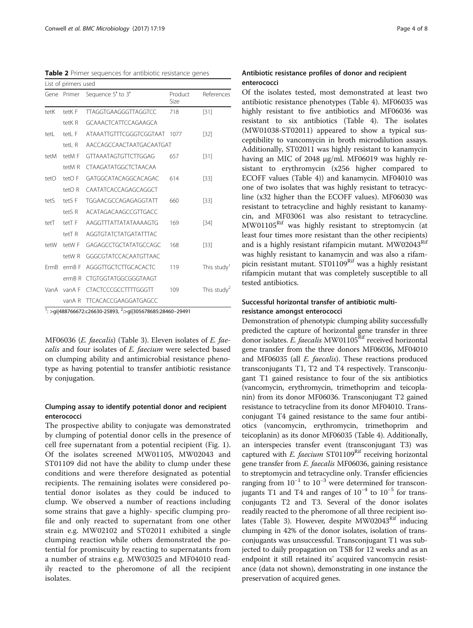<span id="page-3-0"></span>Table 2 Primer sequences for antibiotic resistance genes

|             | List of primers used |                             |                 |                         |  |  |  |
|-------------|----------------------|-----------------------------|-----------------|-------------------------|--|--|--|
|             | Gene Primer          | Sequence 5' to 3'           | Product<br>Size | References              |  |  |  |
| tetK        | tetK F               | <b>TTAGGTGAAGGGTTAGGTCC</b> | 718             | $[31]$                  |  |  |  |
|             | tetK R               | GCAAACTCATTCCAGAAGCA        |                 |                         |  |  |  |
| tetL        | tetL F               | ATAAATTGTTTCGGGTCGGTAAT     | 1077            | $[32]$                  |  |  |  |
|             | tetL R               | AACCAGCCAACTAATGACAATGAT    |                 |                         |  |  |  |
| tetM        | tetM F               | GTTAAATAGTGTTCTTGGAG        | 657             | $[31]$                  |  |  |  |
|             | tetM R               | CTAAGATATGGCTCTAACAA        |                 |                         |  |  |  |
| tetO        | tetO F               | GATGGCATACAGGCACAGAC        | 614             | [33]                    |  |  |  |
|             | tetO R               | CAATATCACCAGAGCAGGCT        |                 |                         |  |  |  |
| tetS        | tetS <sub>F</sub>    | <b>TGGAACGCCAGAGAGGTATT</b> | 660             | $[33]$                  |  |  |  |
|             | tetS R               | ACATAGACAAGCCGTTGACC        |                 |                         |  |  |  |
| tetT        | tetT F               | AAGGTTTATTATATAAAAGTG       | 169             | [34]                    |  |  |  |
|             | tetT <sub>R</sub>    | AGGTGTATCTATGATATTTAC       |                 |                         |  |  |  |
| tetW        | tetW F               | GAGAGCCTGCTATATGCCAGC       | 168             | [33]                    |  |  |  |
|             | tetW R               | GGGCGTATCCACAATGTTAAC       |                 |                         |  |  |  |
| <b>FrmB</b> | erm <sub>B</sub> F   | AGGGTTGCTCTTGCACACTC        | 119             | This study <sup>1</sup> |  |  |  |
|             | $ermB$ R             | CTGTGGTATGGCGGGTAAGT        |                 |                         |  |  |  |
| VanA        | vanA F               | <b>CTACTCCCGCCTTTTGGGTT</b> | 109             | This study <sup>2</sup> |  |  |  |
|             | vanA R               | <b>TTCACACCGAAGGATGAGCC</b> |                 |                         |  |  |  |

<sup>1</sup>: >gi|488766672:c26630-25893, <sup>2</sup>:>gi|305678685:28460-29491

MF06036 (E. faecalis) (Table [3](#page-4-0)). Eleven isolates of E. faecalis and four isolates of E. faecium were selected based on clumping ability and antimicrobial resistance phenotype as having potential to transfer antibiotic resistance by conjugation.

# Clumping assay to identify potential donor and recipient enterococci

The prospective ability to conjugate was demonstrated by clumping of potential donor cells in the presence of cell free supernatant from a potential recipient (Fig. [1](#page-4-0)). Of the isolates screened MW01105, MW02043 and ST01109 did not have the ability to clump under these conditions and were therefore designated as potential recipients. The remaining isolates were considered potential donor isolates as they could be induced to clump. We observed a number of reactions including some strains that gave a highly- specific clumping profile and only reacted to supernatant from one other strain e.g. MW02102 and ST02011 exhibited a single clumping reaction while others demonstrated the potential for promiscuity by reacting to supernatants from a number of strains e.g. MW03025 and MF04010 readily reacted to the pheromone of all the recipient isolates.

# Antibiotic resistance profiles of donor and recipient enterococci

Of the isolates tested, most demonstrated at least two antibiotic resistance phenotypes (Table [4\)](#page-5-0). MF06035 was highly resistant to five antibiotics and MF06036 was resistant to six antibiotics (Table [4](#page-5-0)). The isolates (MW01038-ST02011) appeared to show a typical susceptibility to vancomycin in broth microdilution assays. Additionally, ST02011 was highly resistant to kanamycin having an MIC of 2048 μg/ml. MF06019 was highly resistant to erythromycin (x256 higher compared to ECOFF values (Table [4\)](#page-5-0)) and kanamycin. MF04010 was one of two isolates that was highly resistant to tetracycline (x32 higher than the ECOFF values). MF06030 was resistant to tetracycline and highly resistant to kanamycin, and MF03061 was also resistant to tetracycline. MW01105Rif was highly resistant to streptomycin (at least four times more resistant than the other recipients) and is a highly resistant rifampicin mutant.  $MW02043<sup>Kit</sup>$ was highly resistant to kanamycin and was also a rifampicin resistant mutant. ST01109<sup>Rif</sup> was a highly resistant rifampicin mutant that was completely susceptible to all tested antibiotics.

# Successful horizontal transfer of antibiotic multiresistance amongst enterococci

Demonstration of phenotypic clumping ability successfully predicted the capture of horizontal gene transfer in three donor isolates. E. faecalis MW01105<sup>Rif</sup> received horizontal gene transfer from the three donors MF06036, MF04010 and MF06035 (all E. faecalis). These reactions produced transconjugants T1, T2 and T4 respectively. Transconjugant T1 gained resistance to four of the six antibiotics (vancomycin, erythromycin, trimethoprim and teicoplanin) from its donor MF06036. Transconjugant T2 gained resistance to tetracycline from its donor MF04010. Transconjugant T4 gained resistance to the same four antibiotics (vancomycin, erythromycin, trimethoprim and teicoplanin) as its donor MF06035 (Table [4](#page-5-0)). Additionally, an interspecies transfer event (transconjugant T3) was captured with  $E$ . faecium ST01109<sup>Rif</sup> receiving horizontal gene transfer from E. faecalis MF06036, gaining resistance to streptomycin and tetracycline only. Transfer efficiencies ranging from  $10^{-1}$  to  $10^{-3}$  were determined for transconjugants T1 and T4 and ranges of  $10^{-4}$  to  $10^{-5}$  for transconjugants T2 and T3. Several of the donor isolates readily reacted to the pheromone of all three recipient iso-lates (Table [3](#page-4-0)). However, despite MW02043<sup>Rif</sup> inducing clumping in 42% of the donor isolates, isolation of transconjugants was unsuccessful. Transconjugant T1 was subjected to daily propagation on TSB for 12 weeks and as an endpoint it still retained its' acquired vancomycin resistance (data not shown), demonstrating in one instance the preservation of acquired genes.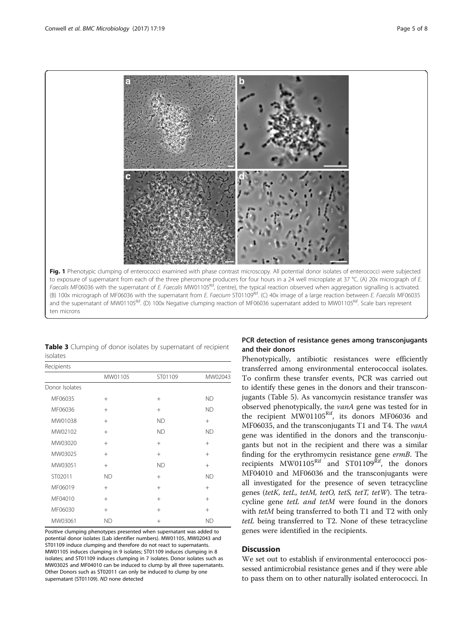<span id="page-4-0"></span>

Table 3 Clumping of donor isolates by supernatant of recipient isolates

| Recipients     |           |           |           |
|----------------|-----------|-----------|-----------|
|                | MW01105   | ST01109   | MW02043   |
| Donor Isolates |           |           |           |
| MF06035        | $^{+}$    | $^{+}$    | <b>ND</b> |
| MF06036        | $+$       | $+$       | <b>ND</b> |
| MW01038        | $+$       | <b>ND</b> | $+$       |
| MW02102        | $^{+}$    | <b>ND</b> | <b>ND</b> |
| MW03020        | $+$       | $^{+}$    | $^{+}$    |
| MW03025        | $+$       | $^{+}$    | $+$       |
| MW03051        | $+$       | <b>ND</b> | $^{+}$    |
| ST02011        | <b>ND</b> | $+$       | <b>ND</b> |
| MF06019        | $+$       | $^{+}$    | $^{+}$    |
| MF04010        | $+$       | $^{+}$    | $+$       |
| MF06030        | $+$       | $^{+}$    | $^{+}$    |
| MW03061        | <b>ND</b> | $^{+}$    | <b>ND</b> |

Positive clumping phenotypes presented when supernatant was added to potential donor isolates (Lab identifier numbers). MW01105, MW02043 and ST01109 induce clumping and therefore do not react to supernatants. MW01105 induces clumping in 9 isolates; ST01109 induces clumping in 8 isolates; and ST01109 induces clumping in 7 isolates. Donor isolates such as MW03025 and MF04010 can be induced to clump by all three supernatants. Other Donors such as ST02011 can only be induced to clump by one supernatant (ST01109). ND none detected

# PCR detection of resistance genes among transconjugants and their donors

Phenotypically, antibiotic resistances were efficiently transferred among environmental enterococcal isolates. To confirm these transfer events, PCR was carried out to identify these genes in the donors and their transconjugants (Table [5\)](#page-5-0). As vancomycin resistance transfer was observed phenotypically, the vanA gene was tested for in the recipient MW01105<sup>Rif</sup>, its donors MF06036 and MF06035, and the transconjugants T1 and T4. The vanA gene was identified in the donors and the transconjugants but not in the recipient and there was a similar finding for the erythromycin resistance gene ermB. The recipients  $MW01105<sup>Rif</sup>$  and  $ST01109<sup>Rif</sup>$ , the donors MF04010 and MF06036 and the transconjugants were all investigated for the presence of seven tetracycline genes (tetK, tetL, tetM, tetO, tetS, tetT, tetW). The tetracycline gene tetL and tetM were found in the donors with *tetM* being transferred to both T1 and T2 with only tetL being transferred to T2. None of these tetracycline genes were identified in the recipients.

# **Discussion**

We set out to establish if environmental enterococci possessed antimicrobial resistance genes and if they were able to pass them on to other naturally isolated enterococci. In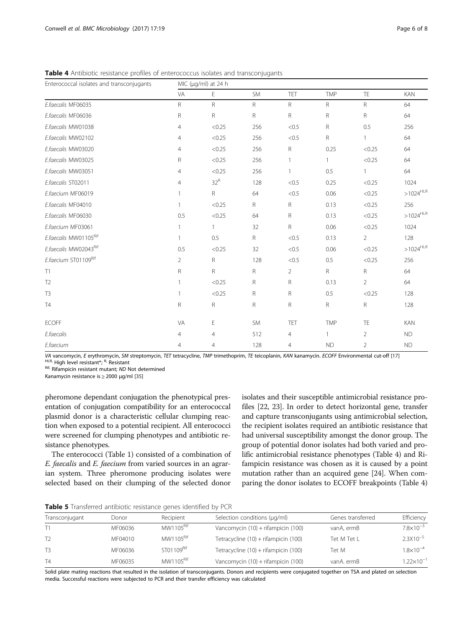| Enterococcal isolates and transconjugants | MIC (µg/ml) at 24 h |              |              |                |              |                |                        |
|-------------------------------------------|---------------------|--------------|--------------|----------------|--------------|----------------|------------------------|
|                                           | VA                  | E            | <b>SM</b>    | TET            | <b>TMP</b>   | TE             | <b>KAN</b>             |
| E.faecalis MF06035                        | $\mathsf{R}$        | $\mathsf R$  | $\mathsf{R}$ | $\mathsf R$    | R            | $\mathsf R$    | 64                     |
| E.faecalis MF06036                        | ${\sf R}$           | R            | $\mathsf{R}$ | $\mathsf R$    | R            | R              | 64                     |
| E.faecalis MW01038                        | $\overline{4}$      | < 0.25       | 256          | < 0.5          | R            | 0.5            | 256                    |
| E.faecalis MW02102                        | $\overline{4}$      | < 0.25       | 256          | < 0.5          | $\mathsf{R}$ | $\mathbf{1}$   | 64                     |
| E.faecalis MW03020                        | 4                   | < 0.25       | 256          | $\mathsf R$    | 0.25         | < 0.25         | 64                     |
| E.faecalis MW03025                        | ${\sf R}$           | < 0.25       | 256          | 1              | $\mathbf{1}$ | < 0.25         | 64                     |
| E.faecalis MW03051                        | $\overline{4}$      | < 0.25       | 256          | 1              | 0.5          | $\mathbf{1}$   | 64                     |
| E.faecalis ST02011                        | $\overline{4}$      | $32^R$       | 128          | < 0.5          | 0.25         | < 0.25         | 1024                   |
| E.faecium MF06019                         | $\mathbf{1}$        | $\mathsf{R}$ | 64           | < 0.5          | 0.06         | < 0.25         | $>1024^{\mathrm{HLR}}$ |
| E.faecalis MF04010                        | $\mathbf{1}$        | < 0.25       | $\mathsf{R}$ | R              | 0.13         | < 0.25         | 256                    |
| E.faecalis MF06030                        | 0.5                 | < 0.25       | 64           | $\mathsf R$    | 0.13         | < 0.25         | $>1024^{\mathrm{HLR}}$ |
| E.faecium MF03061                         | 1                   | $\mathbf{1}$ | 32           | $\mathsf R$    | 0.06         | < 0.25         | 1024                   |
| E.faecalis MW01105Rif                     | 1                   | 0.5          | $\mathsf{R}$ | < 0.5          | 0.13         | $\overline{2}$ | 128                    |
| E.faecalis MW02043Rif                     | 0.5                 | < 0.25       | 32           | < 0.5          | 0.06         | < 0.25         | $>1024^{\mathrm{HLR}}$ |
| E.faecium ST01109Rif                      | $\overline{2}$      | $\mathsf{R}$ | 128          | < 0.5          | 0.5          | < 0.25         | 256                    |
| T1                                        | ${\sf R}$           | $\mathsf R$  | $\mathsf{R}$ | $\overline{2}$ | $\mathsf R$  | ${\sf R}$      | 64                     |
| T <sub>2</sub>                            | $\mathbf{1}$        | < 0.25       | $\mathsf{R}$ | R              | 0.13         | $\overline{2}$ | 64                     |
| T <sub>3</sub>                            | 1                   | < 0.25       | $\mathsf{R}$ | $\mathsf R$    | 0.5          | < 0.25         | 128                    |
| <b>T4</b>                                 | $\mathsf R$         | R            | $\mathsf{R}$ | R              | R            | ${\sf R}$      | 128                    |
| <b>ECOFF</b>                              | VA                  | Е            | <b>SM</b>    | TET            | <b>TMP</b>   | TE             | <b>KAN</b>             |
| E.faecalis                                | $\overline{4}$      | 4            | 512          | 4              | $\mathbf{1}$ | 2              | <b>ND</b>              |
| E.faecium                                 | 4                   | 4            | 128          | 4              | <b>ND</b>    | 2              | <b>ND</b>              |

<span id="page-5-0"></span>Table 4 Antibiotic resistance profiles of enterococcus isolates and transconjugants

VA vancomycin, E erythromycin, SM streptomycin, TET tetracycline, TMP trimethoprim, TE teicoplanin, KAN kanamycin. ECOFF Environmental cut-off [\[17](#page-7-0)] <sup>HLR</sup> High level resistant\*; <sup>R,</sup> Resistant<br><sup>HLR</sup> High level resistant\*; <sup></sup>

Kanamycin resistance is ≥ 2000 μg/ml [\[35\]](#page-7-0)

pheromone dependant conjugation the phenotypical presentation of conjugation compatibility for an enterococcal plasmid donor is a characteristic cellular clumping reaction when exposed to a potential recipient. All enterococci were screened for clumping phenotypes and antibiotic resistance phenotypes.

The enterococci (Table [1](#page-1-0)) consisted of a combination of E. faecalis and E. faecium from varied sources in an agrarian system. Three pheromone producing isolates were selected based on their clumping of the selected donor isolates and their susceptible antimicrobial resistance profiles [\[22, 23](#page-7-0)]. In order to detect horizontal gene, transfer and capture transconjugants using antimicrobial selection, the recipient isolates required an antibiotic resistance that had universal susceptibility amongst the donor group. The group of potential donor isolates had both varied and prolific antimicrobial resistance phenotypes (Table 4) and Rifampicin resistance was chosen as it is caused by a point mutation rather than an acquired gene [[24](#page-7-0)]. When comparing the donor isolates to ECOFF breakpoints (Table 4)

Table 5 Transferred antibiotic resistance genes identified by PCR

| Transconjugant | Donor   | Recipient             | Selection conditions (µg/ml)         | Genes transferred | Efficiency            |
|----------------|---------|-----------------------|--------------------------------------|-------------------|-----------------------|
|                | MF06036 | MW1105 <sup>Rif</sup> | Vancomycin (10) + rifampicin (100)   | vanA, ermB        | $7.8 \times 10^{-3}$  |
| T <sub>2</sub> | MF04010 | MW1105 <sup>Rif</sup> | Tetracycline (10) + rifampicin (100) | Tet M Tet L       | $2.3\times10^{-5}$    |
| T <sub>3</sub> | MF06036 | ST01109Rif            | Tetracycline (10) + rifampicin (100) | Tet M             | $1.8\times10^{-4}$    |
| T4             | MF06035 | MW1105 <sup>Rif</sup> | Vancomycin (10) + rifampicin (100)   | vanA, ermB        | $1.22 \times 10^{-1}$ |

Solid plate mating reactions that resulted in the isolation of transconjugants. Donors and recipients were conjugated together on TSA and plated on selection media. Successful reactions were subjected to PCR and their transfer efficiency was calculated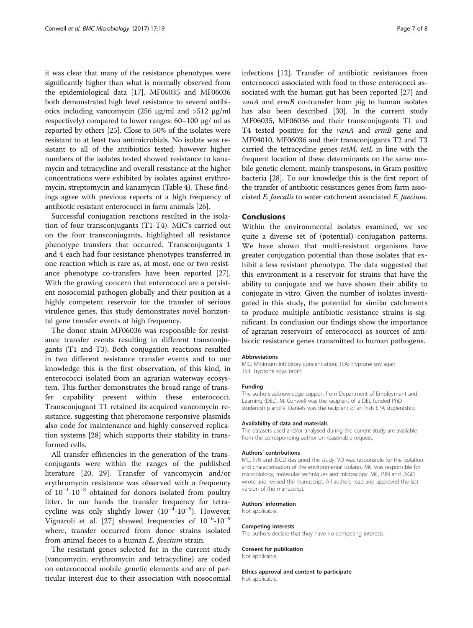it was clear that many of the resistance phenotypes were significantly higher than what is normally observed from the epidemiological data [\[17\]](#page-7-0). MF06035 and MF06036 both demonstrated high level resistance to several antibiotics including vancomycin (256 μg/ml and >512 μg/ml respectively) compared to lower ranges: 60–100 μg/ ml as reported by others [\[25\]](#page-7-0). Close to 50% of the isolates were resistant to at least two antimicrobials. No isolate was resistant to all of the antibiotics tested; however higher numbers of the isolates tested showed resistance to kanamycin and tetracycline and overall resistance at the higher concentrations were exhibited by isolates against erythromycin, streptomycin and kanamycin (Table [4\)](#page-5-0). These findings agree with previous reports of a high frequency of antibiotic resistant enterococci in farm animals [\[26\]](#page-7-0).

Successful conjugation reactions resulted in the isolation of four transconjugants (T1-T4). MIC's carried out on the four transconjugants, highlighted all resistance phenotype transfers that occurred. Transconjugants 1 and 4 each had four resistance phenotypes transferred in one reaction which is rare as, at most, one or two resistance phenotype co-transfers have been reported [\[27](#page-7-0)]. With the growing concern that enterococci are a persistent nosocomial pathogen globally and their position as a highly competent reservoir for the transfer of serious virulence genes, this study demonstrates novel horizontal gene transfer events at high frequency.

The donor strain MF06036 was responsible for resistance transfer events resulting in different transconjugants (T1 and T3). Both conjugation reactions resulted in two different resistance transfer events and to our knowledge this is the first observation, of this kind, in enterococci isolated from an agrarian waterway ecosystem. This further demonstrates the broad range of transfer capability present within these enterococci. Transconjugant T1 retained its acquired vancomycin resistance, suggesting that pheromone responsive plasmids also code for maintenance and highly conserved replication systems [\[28](#page-7-0)] which supports their stability in transformed cells.

All transfer efficiencies in the generation of the transconjugants were within the ranges of the published literature [\[20, 29\]](#page-7-0). Transfer of vancomycin and/or erythromycin resistance was observed with a frequency of 10−<sup>1</sup> -10−<sup>3</sup> obtained for donors isolated from poultry litter. In our hands the transfer frequency for tetracycline was only slightly lower  $(10^{-4}\text{-}10^{-5})$ . However, Vignaroli et al. [\[27\]](#page-7-0) showed frequencies of 10<sup>-6</sup>-10<sup>-9</sup> where, transfer occurred from donor strains isolated from animal faeces to a human E. faecium strain.

The resistant genes selected for in the current study (vancomycin, erythromycin and tetracycline) are coded on enterococcal mobile genetic elements and are of particular interest due to their association with nosocomial

infections [[12\]](#page-7-0). Transfer of antibiotic resistances from enterococci associated with food to those enterococci associated with the human gut has been reported [\[27](#page-7-0)] and vanA and ermB co-transfer from pig to human isolates has also been described [[30](#page-7-0)]. In the current study MF06035, MF06036 and their transconjugants T1 and T4 tested positive for the vanA and ermB gene and MF04010, MF06036 and their transconjugants T2 and T3 carried the tetracycline genes tetM, tetL in line with the frequent location of these determinants on the same mobile genetic element, mainly transposons, in Gram positive bacteria [[28](#page-7-0)]. To our knowledge this is the first report of the transfer of antibiotic resistances genes from farm associated E. faecalis to water catchment associated E. faecium.

#### Conclusions

Within the environmental isolates examined, we see quite a diverse set of (potential) conjugation patterns. We have shown that multi-resistant organisms have greater conjugation potential than those isolates that exhibit a less resistant phenotype. The data suggested that this environment is a reservoir for strains that have the ability to conjugate and we have shown their ability to conjugate in vitro. Given the number of isolates investigated in this study, the potential for similar catchments to produce multiple antibiotic resistance strains is significant. In conclusion our findings show the importance of agrarian reservoirs of enterococci as sources of antibiotic resistance genes transmitted to human pathogens.

#### Abbreviations

MIC: Minimum inhibitory concentration; TSA: Tryptone soy agar; TSB: Tryptone soya broth

#### Funding

The authors acknowledge support from Department of Employment and Learning (DEL). M. Conwell was the recipient of a DEL funded PhD studentship and V. Daniels was the recipient of an Irish EPA studentship.

#### Availability of data and materials

The datasets used and/or analysed during the current study are available from the corresponding author on reasonable request.

#### Authors' contributions

MC, PJN and JSGD designed the study. VD was responsible for the isolation and characterisation of the environmental isolates. MC was responsible for microbiology, molecular techniques and microscopy. MC, PJN and JSGD wrote and revised the manuscript. All authors read and approved the last version of the manuscript.

#### Authors' information

Not applicable.

#### Competing interests

The authors declare that they have no competing interests.

#### Consent for publication

Not applicable.

# Ethics approval and content to participate

Not applicable.